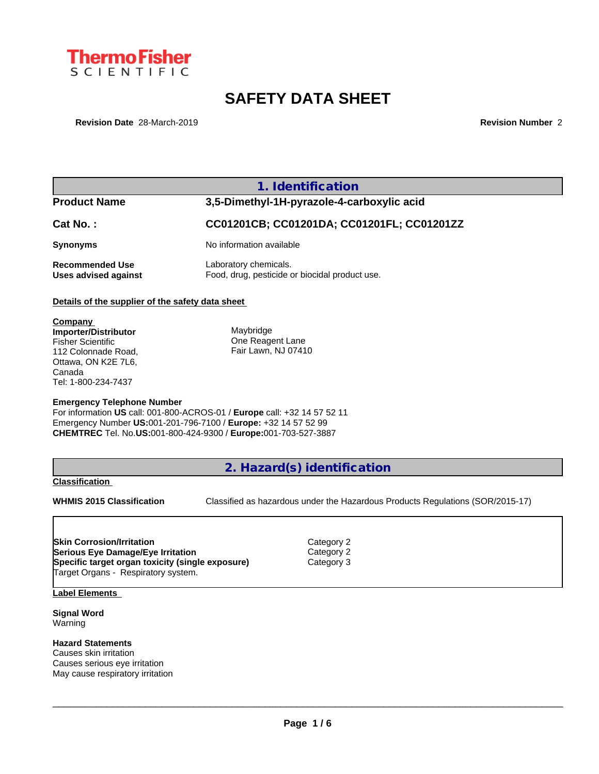

# **SAFETY DATA SHEET**

**Revision Date** 28-March-2019 **Revision Number** 2

## **1. Identification**

| ו וטעשטנ וזמוווס                        | 3,3-Dillictriyi-Ti i-pyrazole-4-carboxyilc acid                         |
|-----------------------------------------|-------------------------------------------------------------------------|
| Cat No. :                               | CC01201CB; CC01201DA; CC01201FL; CC01201ZZ                              |
| Synonyms                                | No information available                                                |
| Recommended Use<br>Uses advised against | Laboratory chemicals.<br>Food, drug, pesticide or biocidal product use. |

**Product Name 3,5-Dimethyl-1H-pyrazole-4-carboxylic acid**

### **Details of the supplier of the safety data sheet**

**Company Importer/Distributor** Fisher Scientific 112 Colonnade Road, Ottawa, ON K2E 7L6, Canada Tel: 1-800-234-7437

**Maybridge** One Reagent Lane Fair Lawn, NJ 07410

#### **Emergency Telephone Number**

For information **US** call: 001-800-ACROS-01 / **Europe** call: +32 14 57 52 11 Emergency Number **US:**001-201-796-7100 / **Europe:** +32 14 57 52 99 **CHEMTREC** Tel. No.**US:**001-800-424-9300 / **Europe:**001-703-527-3887

**2. Hazard(s) identification**

**Classification**

**WHMIS 2015 Classification** Classified as hazardous under the Hazardous Products Regulations (SOR/2015-17)

 $\_$  ,  $\_$  ,  $\_$  ,  $\_$  ,  $\_$  ,  $\_$  ,  $\_$  ,  $\_$  ,  $\_$  ,  $\_$  ,  $\_$  ,  $\_$  ,  $\_$  ,  $\_$  ,  $\_$  ,  $\_$  ,  $\_$  ,  $\_$  ,  $\_$  ,  $\_$  ,  $\_$  ,  $\_$  ,  $\_$  ,  $\_$  ,  $\_$  ,  $\_$  ,  $\_$  ,  $\_$  ,  $\_$  ,  $\_$  ,  $\_$  ,  $\_$  ,  $\_$  ,  $\_$  ,  $\_$  ,  $\_$  ,  $\_$  ,

**Skin Corrosion/Irritation** Category 2 **Serious Eye Damage/Eye Irritation** Category 2 **Specific target organ toxicity (single exposure) Category 3** Target Organs - Respiratory system.

**Label Elements**

**Signal Word** Warning

**Hazard Statements** Causes skin irritation

Causes serious eye irritation May cause respiratory irritation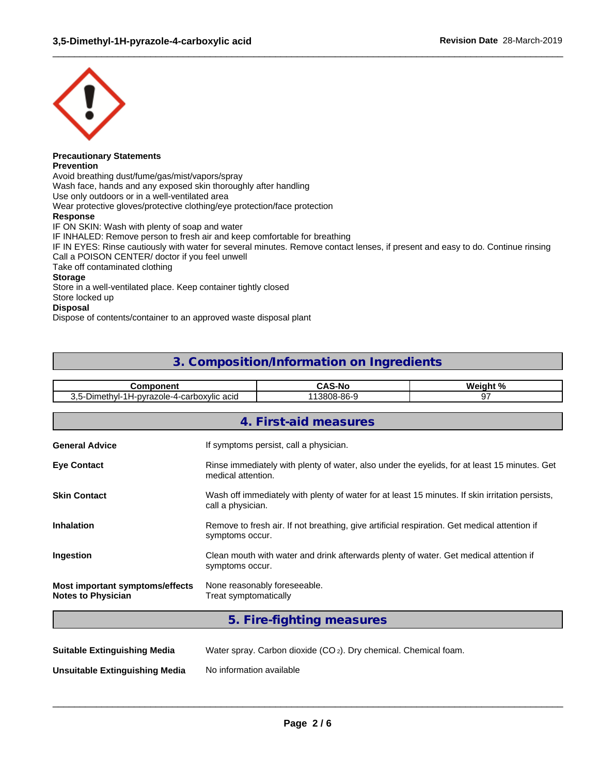

#### **Precautionary Statements Prevention**

Avoid breathing dust/fume/gas/mist/vapors/spray Wash face, hands and any exposed skin thoroughly after handling Use only outdoors or in a well-ventilated area Wear protective gloves/protective clothing/eye protection/face protection **Response** IF ON SKIN: Wash with plenty of soap and water IF INHALED: Remove person to fresh air and keep comfortable for breathing IF IN EYES: Rinse cautiously with water for several minutes. Remove contact lenses, if present and easy to do. Continue rinsing Call a POISON CENTER/ doctor if you feel unwell Take off contaminated clothing **Storage** Store in a well-ventilated place. Keep container tightly closed Store locked up **Disposal**

 $\_$  ,  $\_$  ,  $\_$  ,  $\_$  ,  $\_$  ,  $\_$  ,  $\_$  ,  $\_$  ,  $\_$  ,  $\_$  ,  $\_$  ,  $\_$  ,  $\_$  ,  $\_$  ,  $\_$  ,  $\_$  ,  $\_$  ,  $\_$  ,  $\_$  ,  $\_$  ,  $\_$  ,  $\_$  ,  $\_$  ,  $\_$  ,  $\_$  ,  $\_$  ,  $\_$  ,  $\_$  ,  $\_$  ,  $\_$  ,  $\_$  ,  $\_$  ,  $\_$  ,  $\_$  ,  $\_$  ,  $\_$  ,  $\_$  ,

Dispose of contents/container to an approved waste disposal plant

## **3. Composition/Information on Ingredients**

| <b>Component</b><br>3,5-Dimethyl-1H-pyrazole-4-carboxylic acid |                                                                                                                      | <b>CAS-No</b>                                                                                | Weight % |
|----------------------------------------------------------------|----------------------------------------------------------------------------------------------------------------------|----------------------------------------------------------------------------------------------|----------|
|                                                                |                                                                                                                      | 113808-86-9                                                                                  | 97       |
|                                                                |                                                                                                                      | 4. First-aid measures                                                                        |          |
| <b>General Advice</b>                                          |                                                                                                                      | If symptoms persist, call a physician.                                                       |          |
| <b>Eye Contact</b>                                             | medical attention.                                                                                                   | Rinse immediately with plenty of water, also under the eyelids, for at least 15 minutes. Get |          |
| <b>Skin Contact</b>                                            | Wash off immediately with plenty of water for at least 15 minutes. If skin irritation persists,<br>call a physician. |                                                                                              |          |
| <b>Inhalation</b>                                              | symptoms occur.                                                                                                      | Remove to fresh air. If not breathing, give artificial respiration. Get medical attention if |          |
| Ingestion                                                      | symptoms occur.                                                                                                      | Clean mouth with water and drink afterwards plenty of water. Get medical attention if        |          |
| Most important symptoms/effects<br><b>Notes to Physician</b>   | None reasonably foreseeable.<br>Treat symptomatically                                                                |                                                                                              |          |
|                                                                |                                                                                                                      | 5. Fire-fighting measures                                                                    |          |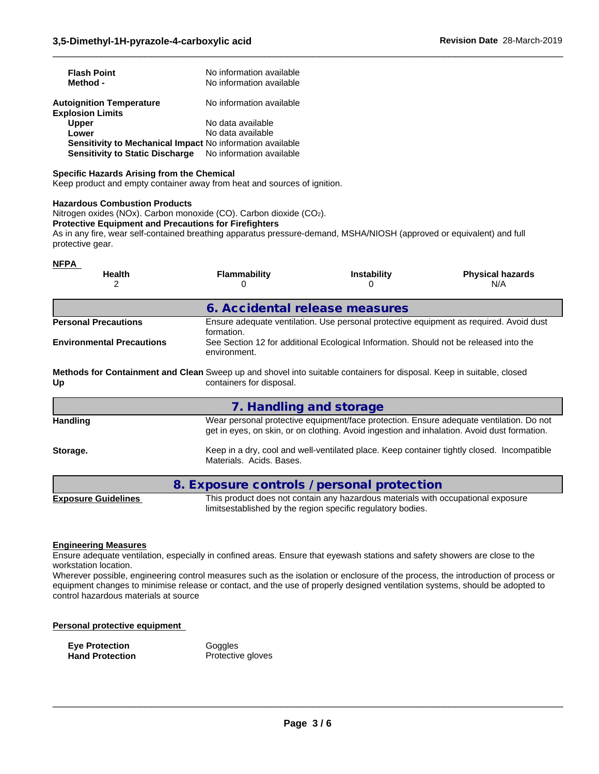| <b>Flash Point</b><br>Method -                                  | No information available<br>No information available |
|-----------------------------------------------------------------|------------------------------------------------------|
| <b>Autoignition Temperature</b><br><b>Explosion Limits</b>      | No information available                             |
| <b>Upper</b>                                                    | No data available                                    |
| Lower                                                           | No data available                                    |
| Sensitivity to Mechanical Impact No information available       |                                                      |
| <b>Sensitivity to Static Discharge</b> No information available |                                                      |

#### **Specific Hazards Arising from the Chemical**

Keep product and empty container away from heat and sources of ignition.

#### **Hazardous Combustion Products**

Nitrogen oxides (NOx). Carbon monoxide (CO). Carbon dioxide (CO2).

#### **Protective Equipment and Precautions for Firefighters**

As in any fire, wear self-contained breathing apparatus pressure-demand, MSHA/NIOSH (approved or equivalent) and full protective gear.

 $\_$  ,  $\_$  ,  $\_$  ,  $\_$  ,  $\_$  ,  $\_$  ,  $\_$  ,  $\_$  ,  $\_$  ,  $\_$  ,  $\_$  ,  $\_$  ,  $\_$  ,  $\_$  ,  $\_$  ,  $\_$  ,  $\_$  ,  $\_$  ,  $\_$  ,  $\_$  ,  $\_$  ,  $\_$  ,  $\_$  ,  $\_$  ,  $\_$  ,  $\_$  ,  $\_$  ,  $\_$  ,  $\_$  ,  $\_$  ,  $\_$  ,  $\_$  ,  $\_$  ,  $\_$  ,  $\_$  ,  $\_$  ,  $\_$  ,

#### **NFPA**

| .<br><b>Health</b><br>2          | <b>Flammability</b><br>0                                                                                                                          | <b>Instability</b>                                                                                                                              | <b>Physical hazards</b><br>N/A                                                                                                                                                         |  |  |  |
|----------------------------------|---------------------------------------------------------------------------------------------------------------------------------------------------|-------------------------------------------------------------------------------------------------------------------------------------------------|----------------------------------------------------------------------------------------------------------------------------------------------------------------------------------------|--|--|--|
|                                  |                                                                                                                                                   | 6. Accidental release measures                                                                                                                  |                                                                                                                                                                                        |  |  |  |
| <b>Personal Precautions</b>      | formation.                                                                                                                                        |                                                                                                                                                 | Ensure adequate ventilation. Use personal protective equipment as required. Avoid dust                                                                                                 |  |  |  |
| <b>Environmental Precautions</b> | environment.                                                                                                                                      | See Section 12 for additional Ecological Information. Should not be released into the                                                           |                                                                                                                                                                                        |  |  |  |
| Up                               | Methods for Containment and Clean Sweep up and shovel into suitable containers for disposal. Keep in suitable, closed<br>containers for disposal. |                                                                                                                                                 |                                                                                                                                                                                        |  |  |  |
|                                  |                                                                                                                                                   | 7. Handling and storage                                                                                                                         |                                                                                                                                                                                        |  |  |  |
| <b>Handling</b>                  |                                                                                                                                                   |                                                                                                                                                 | Wear personal protective equipment/face protection. Ensure adequate ventilation. Do not<br>get in eyes, on skin, or on clothing. Avoid ingestion and inhalation. Avoid dust formation. |  |  |  |
| Storage.                         | Materials. Acids. Bases.                                                                                                                          |                                                                                                                                                 | Keep in a dry, cool and well-ventilated place. Keep container tightly closed. Incompatible                                                                                             |  |  |  |
|                                  | 8. Exposure controls / personal protection                                                                                                        |                                                                                                                                                 |                                                                                                                                                                                        |  |  |  |
| <b>Exposure Guidelines</b>       |                                                                                                                                                   | This product does not contain any hazardous materials with occupational exposure<br>limitsestablished by the region specific regulatory bodies. |                                                                                                                                                                                        |  |  |  |

#### **Engineering Measures**

Ensure adequate ventilation, especially in confined areas. Ensure that eyewash stations and safety showers are close to the workstation location.

Wherever possible, engineering control measures such as the isolation or enclosure of the process, the introduction of process or equipment changes to minimise release or contact, and the use of properly designed ventilation systems, should be adopted to control hazardous materials at source

#### **Personal protective equipment**

| Eye Protection  |
|-----------------|
| Hand Protection |

**Goggles Protective gloves**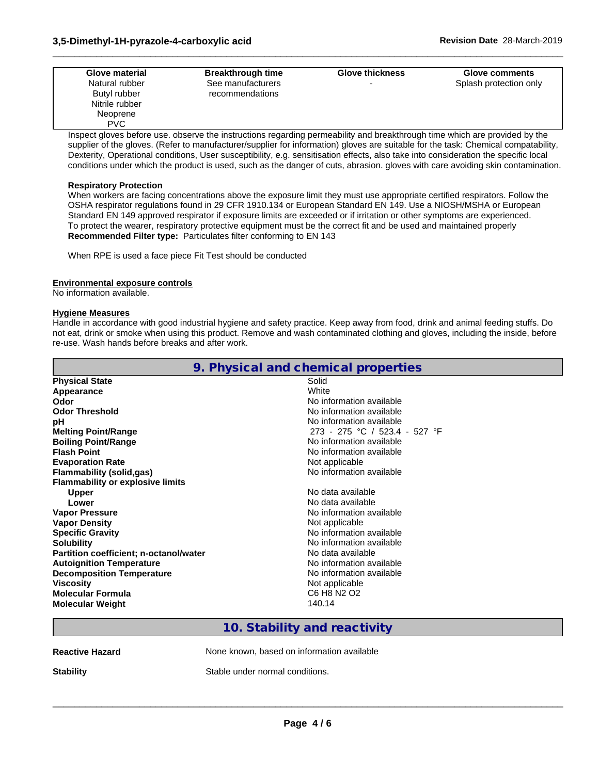| Glove material | <b>Breakthrough time</b> | <b>Glove thickness</b> | <b>Glove comments</b>  |
|----------------|--------------------------|------------------------|------------------------|
| Natural rubber | See manufacturers        |                        | Splash protection only |
| Butyl rubber   | recommendations          |                        |                        |
| Nitrile rubber |                          |                        |                        |
| Neoprene       |                          |                        |                        |
| <b>PVC</b>     |                          |                        |                        |

 $\_$  ,  $\_$  ,  $\_$  ,  $\_$  ,  $\_$  ,  $\_$  ,  $\_$  ,  $\_$  ,  $\_$  ,  $\_$  ,  $\_$  ,  $\_$  ,  $\_$  ,  $\_$  ,  $\_$  ,  $\_$  ,  $\_$  ,  $\_$  ,  $\_$  ,  $\_$  ,  $\_$  ,  $\_$  ,  $\_$  ,  $\_$  ,  $\_$  ,  $\_$  ,  $\_$  ,  $\_$  ,  $\_$  ,  $\_$  ,  $\_$  ,  $\_$  ,  $\_$  ,  $\_$  ,  $\_$  ,  $\_$  ,  $\_$  ,

Inspect gloves before use. observe the instructions regarding permeability and breakthrough time which are provided by the supplier of the gloves. (Refer to manufacturer/supplier for information) gloves are suitable for the task: Chemical compatability, Dexterity, Operational conditions, User susceptibility, e.g. sensitisation effects, also take into consideration the specific local conditions under which the product is used, such as the danger of cuts, abrasion. gloves with care avoiding skin contamination.

#### **Respiratory Protection**

When workers are facing concentrations above the exposure limit they must use appropriate certified respirators. Follow the OSHA respirator regulations found in 29 CFR 1910.134 or European Standard EN 149. Use a NIOSH/MSHA or European Standard EN 149 approved respirator if exposure limits are exceeded or if irritation or other symptoms are experienced. To protect the wearer, respiratory protective equipment must be the correct fit and be used and maintained properly **Recommended Filter type:** Particulates filter conforming to EN 143

When RPE is used a face piece Fit Test should be conducted

#### **Environmental exposure controls**

No information available.

#### **Hygiene Measures**

Handle in accordance with good industrial hygiene and safety practice. Keep away from food, drink and animal feeding stuffs. Do not eat, drink or smoke when using this product. Remove and wash contaminated clothing and gloves, including the inside, before re-use. Wash hands before breaks and after work.

|                                         | 9. Physical and chemical properties |
|-----------------------------------------|-------------------------------------|
| <b>Physical State</b>                   | Solid                               |
| Appearance                              | White                               |
| Odor                                    | No information available            |
| <b>Odor Threshold</b>                   | No information available            |
| рH                                      | No information available            |
| <b>Melting Point/Range</b>              | 273 - 275 °C / 523.4 - 527 °F       |
| <b>Boiling Point/Range</b>              | No information available            |
| <b>Flash Point</b>                      | No information available            |
| <b>Evaporation Rate</b>                 | Not applicable                      |
| Flammability (solid,gas)                | No information available            |
| <b>Flammability or explosive limits</b> |                                     |
| <b>Upper</b>                            | No data available                   |
| Lower                                   | No data available                   |
| <b>Vapor Pressure</b>                   | No information available            |
| <b>Vapor Density</b>                    | Not applicable                      |
| <b>Specific Gravity</b>                 | No information available            |
| <b>Solubility</b>                       | No information available            |
| Partition coefficient; n-octanol/water  | No data available                   |
| <b>Autoignition Temperature</b>         | No information available            |
| <b>Decomposition Temperature</b>        | No information available            |
| <b>Viscosity</b>                        | Not applicable                      |
| <b>Molecular Formula</b>                | C6 H8 N2 O2                         |
| <b>Molecular Weight</b>                 | 140.14                              |

## **10. Stability and reactivity**

**Reactive Hazard None known, based on information available** 

**Stability** Stable under normal conditions.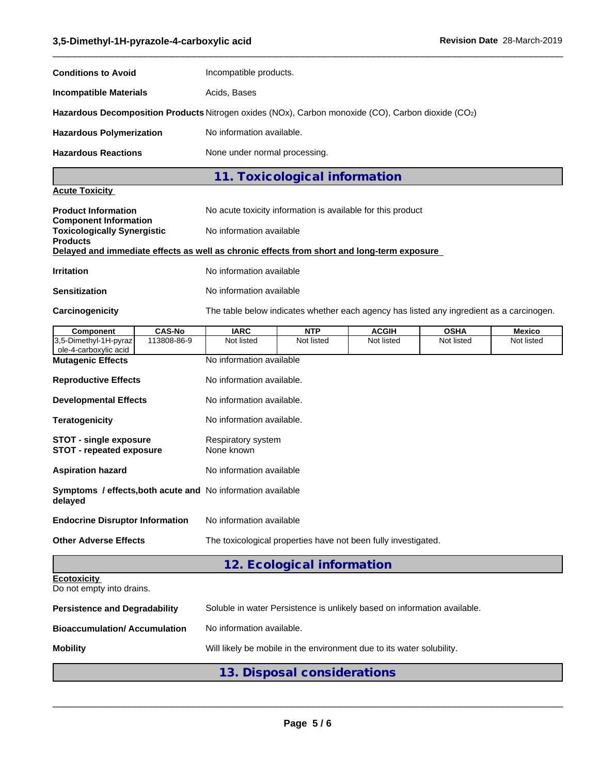| <b>Conditions to Avoid</b>                                                                         |               | Incompatible products.           |                                                                                          |                                                                          |             |            |
|----------------------------------------------------------------------------------------------------|---------------|----------------------------------|------------------------------------------------------------------------------------------|--------------------------------------------------------------------------|-------------|------------|
| <b>Incompatible Materials</b>                                                                      |               | Acids, Bases                     |                                                                                          |                                                                          |             |            |
| Hazardous Decomposition Products Nitrogen oxides (NOx), Carbon monoxide (CO), Carbon dioxide (CO2) |               |                                  |                                                                                          |                                                                          |             |            |
| <b>Hazardous Polymerization</b>                                                                    |               | No information available.        |                                                                                          |                                                                          |             |            |
| <b>Hazardous Reactions</b>                                                                         |               | None under normal processing.    |                                                                                          |                                                                          |             |            |
|                                                                                                    |               |                                  | 11. Toxicological information                                                            |                                                                          |             |            |
| <b>Acute Toxicity</b>                                                                              |               |                                  |                                                                                          |                                                                          |             |            |
| <b>Product Information</b><br><b>Component Information</b>                                         |               |                                  |                                                                                          | No acute toxicity information is available for this product              |             |            |
| <b>Toxicologically Synergistic</b><br><b>Products</b>                                              |               | No information available         |                                                                                          |                                                                          |             |            |
| Delayed and immediate effects as well as chronic effects from short and long-term exposure         |               |                                  |                                                                                          |                                                                          |             |            |
| <b>Irritation</b>                                                                                  |               | No information available         |                                                                                          |                                                                          |             |            |
| <b>Sensitization</b>                                                                               |               | No information available         |                                                                                          |                                                                          |             |            |
| Carcinogenicity                                                                                    |               |                                  | The table below indicates whether each agency has listed any ingredient as a carcinogen. |                                                                          |             |            |
| Component                                                                                          | <b>CAS-No</b> | <b>IARC</b>                      | <b>NTP</b>                                                                               | <b>ACGIH</b>                                                             | <b>OSHA</b> | Mexico     |
| 3,5-Dimethyl-1H-pyraz<br>ole-4-carboxylic acid                                                     | 113808-86-9   | Not listed                       | Not listed                                                                               | Not listed                                                               | Not listed  | Not listed |
| <b>Mutagenic Effects</b>                                                                           |               | No information available         |                                                                                          |                                                                          |             |            |
| <b>Reproductive Effects</b>                                                                        |               | No information available.        |                                                                                          |                                                                          |             |            |
| <b>Developmental Effects</b>                                                                       |               | No information available.        |                                                                                          |                                                                          |             |            |
| <b>Teratogenicity</b>                                                                              |               | No information available.        |                                                                                          |                                                                          |             |            |
| <b>STOT - single exposure</b><br><b>STOT - repeated exposure</b>                                   |               | Respiratory system<br>None known |                                                                                          |                                                                          |             |            |
| <b>Aspiration hazard</b>                                                                           |               | No information available         |                                                                                          |                                                                          |             |            |
| Symptoms / effects, both acute and No information available<br>delayed                             |               |                                  |                                                                                          |                                                                          |             |            |
| <b>Endocrine Disruptor Information</b>                                                             |               | No information available         |                                                                                          |                                                                          |             |            |
| <b>Other Adverse Effects</b>                                                                       |               |                                  |                                                                                          | The toxicological properties have not been fully investigated.           |             |            |
|                                                                                                    |               |                                  | 12. Ecological information                                                               |                                                                          |             |            |
| <b>Ecotoxicity</b><br>Do not empty into drains.                                                    |               |                                  |                                                                                          |                                                                          |             |            |
| <b>Persistence and Degradability</b>                                                               |               |                                  |                                                                                          | Soluble in water Persistence is unlikely based on information available. |             |            |
| <b>Bioaccumulation/ Accumulation</b>                                                               |               | No information available.        |                                                                                          |                                                                          |             |            |

**Mobility** Mobility Will likely be mobile in the environment due to its water solubility.

## **13. Disposal considerations**